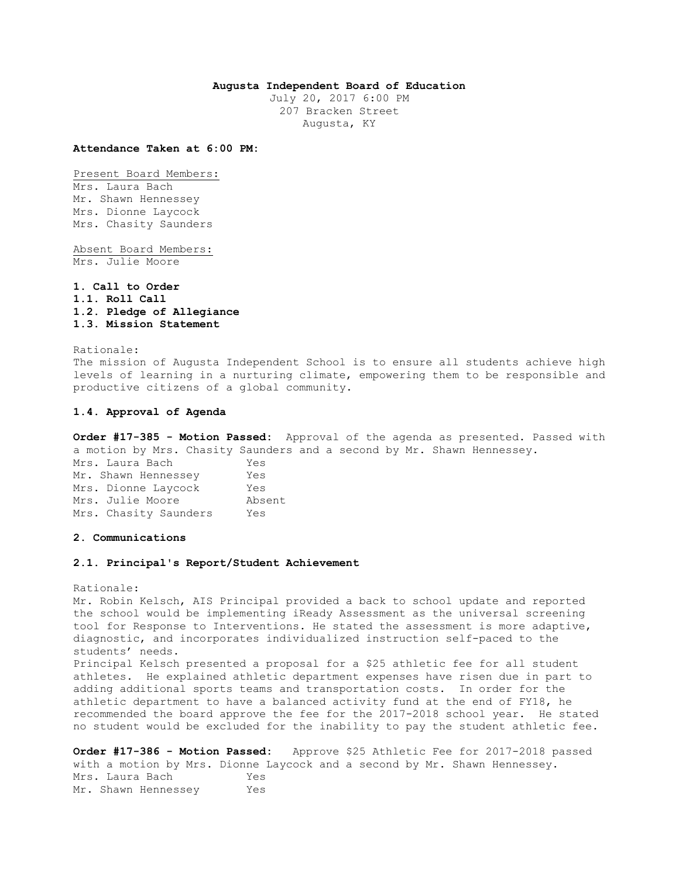# **Augusta Independent Board of Education**

July 20, 2017 6:00 PM 207 Bracken Street Augusta, KY

**Attendance Taken at 6:00 PM:**

Present Board Members: Mrs. Laura Bach Mr. Shawn Hennessey Mrs. Dionne Laycock Mrs. Chasity Saunders

Absent Board Members: Mrs. Julie Moore

**1. Call to Order 1.1. Roll Call 1.2. Pledge of Allegiance 1.3. Mission Statement** 

Rationale: The mission of Augusta Independent School is to ensure all students achieve high levels of learning in a nurturing climate, empowering them to be responsible and productive citizens of a global community.

#### **1.4. Approval of Agenda**

**Order #17-385 - Motion Passed:** Approval of the agenda as presented. Passed with a motion by Mrs. Chasity Saunders and a second by Mr. Shawn Hennessey. Mrs. Laura Bach Yes Mr. Shawn Hennessey Yes Mrs. Dionne Laycock Yes Mrs. Julie Moore Absent Mrs. Chasity Saunders Yes

#### **2. Communications**

# **2.1. Principal's Report/Student Achievement**

Rationale:

Mr. Robin Kelsch, AIS Principal provided a back to school update and reported the school would be implementing iReady Assessment as the universal screening tool for Response to Interventions. He stated the assessment is more adaptive, diagnostic, and incorporates individualized instruction self-paced to the students' needs. Principal Kelsch presented a proposal for a \$25 athletic fee for all student athletes. He explained athletic department expenses have risen due in part to adding additional sports teams and transportation costs. In order for the athletic department to have a balanced activity fund at the end of FY18, he recommended the board approve the fee for the 2017-2018 school year. He stated no student would be excluded for the inability to pay the student athletic fee.

**Order #17-386 - Motion Passed:** Approve \$25 Athletic Fee for 2017-2018 passed with a motion by Mrs. Dionne Laycock and a second by Mr. Shawn Hennessey. Mrs. Laura Bach Yes Mr. Shawn Hennessey Yes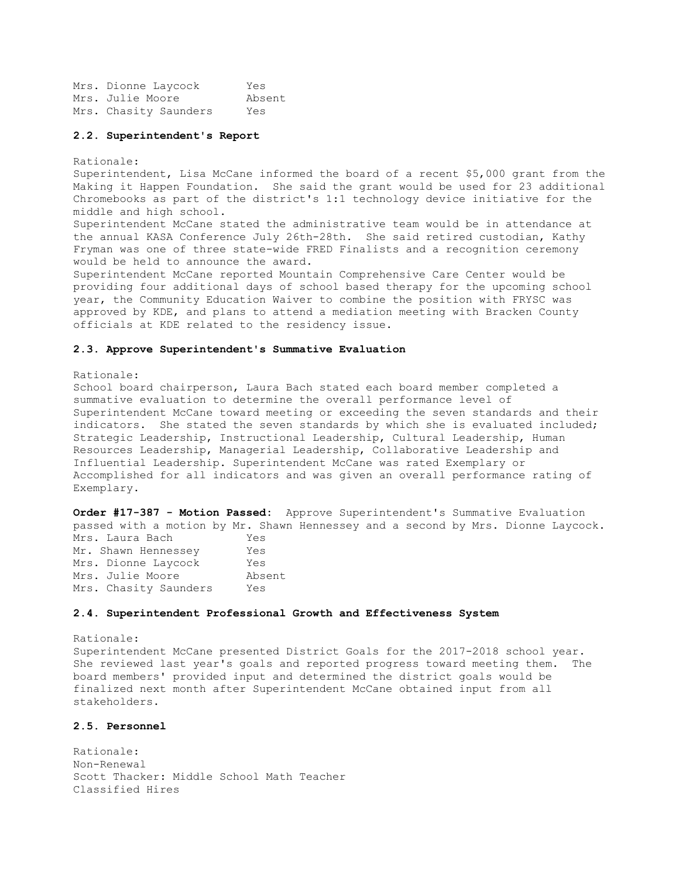Mrs. Dionne Laycock Yes Mrs. Julie Moore Absent Mrs. Chasity Saunders Yes

### **2.2. Superintendent's Report**

Rationale:

Superintendent, Lisa McCane informed the board of a recent \$5,000 grant from the Making it Happen Foundation. She said the grant would be used for 23 additional Chromebooks as part of the district's 1:1 technology device initiative for the middle and high school.

Superintendent McCane stated the administrative team would be in attendance at the annual KASA Conference July 26th-28th. She said retired custodian, Kathy Fryman was one of three state-wide FRED Finalists and a recognition ceremony would be held to announce the award.

Superintendent McCane reported Mountain Comprehensive Care Center would be providing four additional days of school based therapy for the upcoming school year, the Community Education Waiver to combine the position with FRYSC was approved by KDE, and plans to attend a mediation meeting with Bracken County officials at KDE related to the residency issue.

# **2.3. Approve Superintendent's Summative Evaluation**

Rationale:

School board chairperson, Laura Bach stated each board member completed a summative evaluation to determine the overall performance level of Superintendent McCane toward meeting or exceeding the seven standards and their indicators. She stated the seven standards by which she is evaluated included; Strategic Leadership, Instructional Leadership, Cultural Leadership, Human Resources Leadership, Managerial Leadership, Collaborative Leadership and Influential Leadership. Superintendent McCane was rated Exemplary or Accomplished for all indicators and was given an overall performance rating of Exemplary.

**Order #17-387 - Motion Passed:** Approve Superintendent's Summative Evaluation passed with a motion by Mr. Shawn Hennessey and a second by Mrs. Dionne Laycock. Mrs. Laura Bach Yes Mr. Shawn Hennessey Yes Mrs. Dionne Laycock Yes Mrs. Julie Moore Absent Mrs. Chasity Saunders Yes

### **2.4. Superintendent Professional Growth and Effectiveness System**

Rationale: Superintendent McCane presented District Goals for the 2017-2018 school year. She reviewed last year's goals and reported progress toward meeting them. The board members' provided input and determined the district goals would be finalized next month after Superintendent McCane obtained input from all stakeholders.

# **2.5. Personnel**

Rationale: Non-Renewal Scott Thacker: Middle School Math Teacher Classified Hires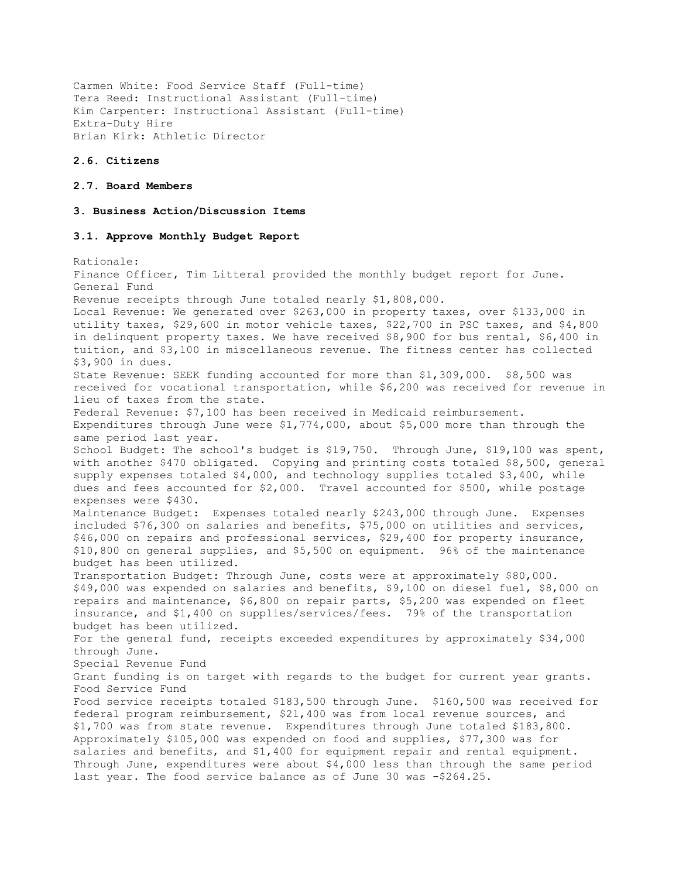Carmen White: Food Service Staff (Full-time) Tera Reed: Instructional Assistant (Full-time) Kim Carpenter: Instructional Assistant (Full-time) Extra-Duty Hire Brian Kirk: Athletic Director

### **2.6. Citizens**

# **2.7. Board Members**

### **3. Business Action/Discussion Items**

# **3.1. Approve Monthly Budget Report**

Rationale: Finance Officer, Tim Litteral provided the monthly budget report for June. General Fund Revenue receipts through June totaled nearly \$1,808,000. Local Revenue: We generated over \$263,000 in property taxes, over \$133,000 in utility taxes, \$29,600 in motor vehicle taxes, \$22,700 in PSC taxes, and \$4,800 in delinquent property taxes. We have received \$8,900 for bus rental, \$6,400 in tuition, and \$3,100 in miscellaneous revenue. The fitness center has collected \$3,900 in dues. State Revenue: SEEK funding accounted for more than \$1,309,000. \$8,500 was received for vocational transportation, while \$6,200 was received for revenue in lieu of taxes from the state. Federal Revenue: \$7,100 has been received in Medicaid reimbursement. Expenditures through June were \$1,774,000, about \$5,000 more than through the same period last year. School Budget: The school's budget is \$19,750. Through June, \$19,100 was spent, with another \$470 obligated. Copying and printing costs totaled \$8,500, general supply expenses totaled \$4,000, and technology supplies totaled \$3,400, while dues and fees accounted for \$2,000. Travel accounted for \$500, while postage expenses were \$430. Maintenance Budget: Expenses totaled nearly \$243,000 through June. Expenses included \$76,300 on salaries and benefits, \$75,000 on utilities and services, \$46,000 on repairs and professional services, \$29,400 for property insurance, \$10,800 on general supplies, and \$5,500 on equipment. 96% of the maintenance budget has been utilized. Transportation Budget: Through June, costs were at approximately \$80,000. \$49,000 was expended on salaries and benefits, \$9,100 on diesel fuel, \$8,000 on repairs and maintenance, \$6,800 on repair parts, \$5,200 was expended on fleet insurance, and \$1,400 on supplies/services/fees. 79% of the transportation budget has been utilized. For the general fund, receipts exceeded expenditures by approximately \$34,000 through June. Special Revenue Fund Grant funding is on target with regards to the budget for current year grants. Food Service Fund Food service receipts totaled \$183,500 through June. \$160,500 was received for federal program reimbursement, \$21,400 was from local revenue sources, and \$1,700 was from state revenue. Expenditures through June totaled \$183,800. Approximately \$105,000 was expended on food and supplies, \$77,300 was for salaries and benefits, and \$1,400 for equipment repair and rental equipment. Through June, expenditures were about \$4,000 less than through the same period last year. The food service balance as of June 30 was -\$264.25.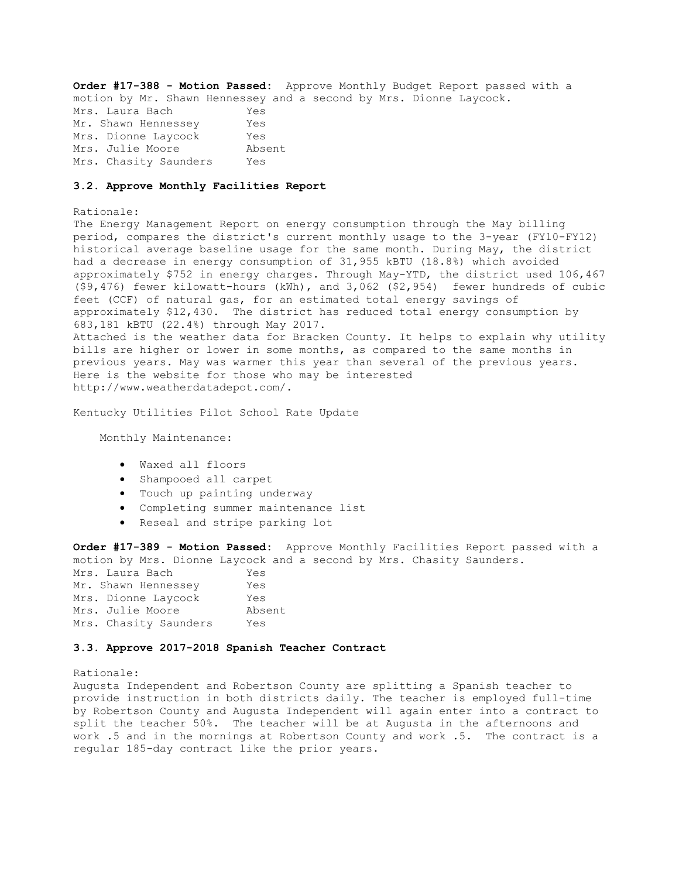**Order #17-388 - Motion Passed:** Approve Monthly Budget Report passed with a motion by Mr. Shawn Hennessey and a second by Mrs. Dionne Laycock. Mrs. Laura Bach Yes Mr. Shawn Hennessey Yes Mrs. Dionne Laycock Yes Mrs. Julie Moore Absent Mrs. Chasity Saunders Yes

### **3.2. Approve Monthly Facilities Report**

#### Rationale:

The Energy Management Report on energy consumption through the May billing period, compares the district's current monthly usage to the 3-year (FY10-FY12) historical average baseline usage for the same month. During May, the district had a decrease in energy consumption of 31,955 kBTU (18.8%) which avoided approximately \$752 in energy charges. Through May-YTD, the district used 106,467 (\$9,476) fewer kilowatt-hours (kWh), and 3,062 (\$2,954) fewer hundreds of cubic feet (CCF) of natural gas, for an estimated total energy savings of approximately \$12,430. The district has reduced total energy consumption by 683,181 kBTU (22.4%) through May 2017. Attached is the weather data for Bracken County. It helps to explain why utility bills are higher or lower in some months, as compared to the same months in previous years. May was warmer this year than several of the previous years. Here is the website for those who may be interested http://www.weatherdatadepot.com/.

Kentucky Utilities Pilot School Rate Update

Monthly Maintenance:

- Waxed all floors
- Shampooed all carpet
- Touch up painting underway
- Completing summer maintenance list
- Reseal and stripe parking lot

**Order #17-389 - Motion Passed:** Approve Monthly Facilities Report passed with a motion by Mrs. Dionne Laycock and a second by Mrs. Chasity Saunders.

| Mrs. Laura Bach       | Yes    |
|-----------------------|--------|
| Mr. Shawn Hennessey   | Yes    |
| Mrs. Dionne Laycock   | Yes    |
| Mrs. Julie Moore      | Absent |
| Mrs. Chasity Saunders | Yes    |

# **3.3. Approve 2017-2018 Spanish Teacher Contract**

#### Rationale:

Augusta Independent and Robertson County are splitting a Spanish teacher to provide instruction in both districts daily. The teacher is employed full-time by Robertson County and Augusta Independent will again enter into a contract to split the teacher 50%. The teacher will be at Augusta in the afternoons and work .5 and in the mornings at Robertson County and work .5. The contract is a regular 185-day contract like the prior years.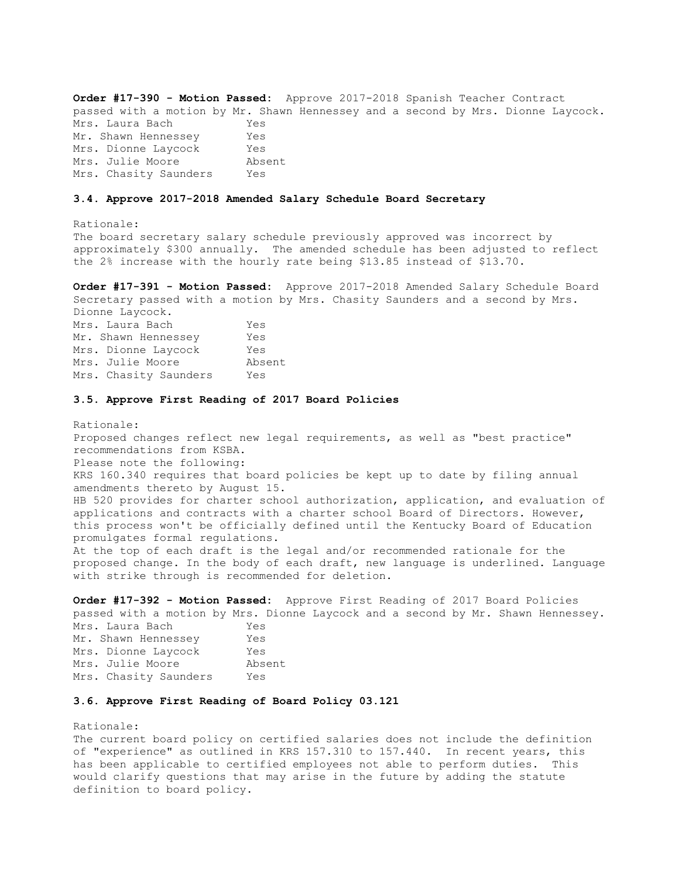**Order #17-390 - Motion Passed:** Approve 2017-2018 Spanish Teacher Contract passed with a motion by Mr. Shawn Hennessey and a second by Mrs. Dionne Laycock. Mrs. Laura Bach Yes Mr. Shawn Hennessey Yes Mrs. Dionne Laycock Yes Mrs. Julie Moore absent Mrs. Chasity Saunders Yes

### **3.4. Approve 2017-2018 Amended Salary Schedule Board Secretary**

Rationale: The board secretary salary schedule previously approved was incorrect by approximately \$300 annually. The amended schedule has been adjusted to reflect the 2% increase with the hourly rate being \$13.85 instead of \$13.70.

**Order #17-391 - Motion Passed:** Approve 2017-2018 Amended Salary Schedule Board Secretary passed with a motion by Mrs. Chasity Saunders and a second by Mrs. Dionne Laycock. Mrs. Laura Bach Yes Mr. Shawn Hennessey Yes Mrs. Dionne Laycock Yes Mrs. Julie Moore Absent Mrs. Chasity Saunders Yes

### **3.5. Approve First Reading of 2017 Board Policies**

Rationale: Proposed changes reflect new legal requirements, as well as "best practice" recommendations from KSBA. Please note the following: KRS 160.340 requires that board policies be kept up to date by filing annual amendments thereto by August 15. HB 520 provides for charter school authorization, application, and evaluation of applications and contracts with a charter school Board of Directors. However, this process won't be officially defined until the Kentucky Board of Education promulgates formal regulations. At the top of each draft is the legal and/or recommended rationale for the proposed change. In the body of each draft, new language is underlined. Language with strike through is recommended for deletion.

**Order #17-392 - Motion Passed:** Approve First Reading of 2017 Board Policies passed with a motion by Mrs. Dionne Laycock and a second by Mr. Shawn Hennessey.

| Mrs. Laura Bach       | Yes    |
|-----------------------|--------|
| Mr. Shawn Hennessey   | Yes    |
| Mrs. Dionne Laycock   | Yes    |
| Mrs. Julie Moore      | Absent |
| Mrs. Chasity Saunders | Yes    |

# **3.6. Approve First Reading of Board Policy 03.121**

Rationale:

The current board policy on certified salaries does not include the definition of "experience" as outlined in KRS 157.310 to 157.440. In recent years, this has been applicable to certified employees not able to perform duties. This would clarify questions that may arise in the future by adding the statute definition to board policy.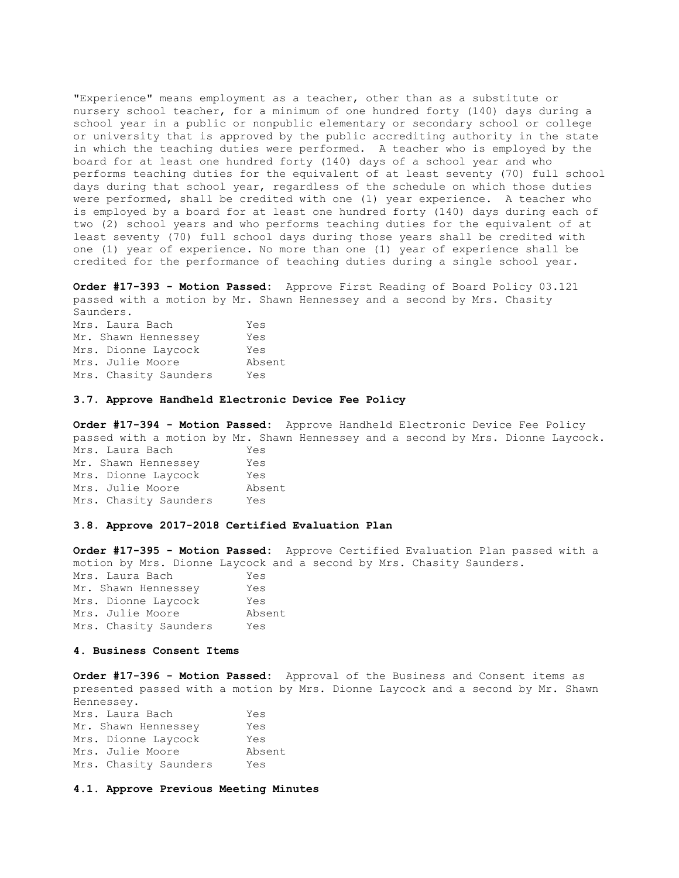"Experience" means employment as a teacher, other than as a substitute or nursery school teacher, for a minimum of one hundred forty (140) days during a school year in a public or nonpublic elementary or secondary school or college or university that is approved by the public accrediting authority in the state in which the teaching duties were performed. A teacher who is employed by the board for at least one hundred forty (140) days of a school year and who performs teaching duties for the equivalent of at least seventy (70) full school days during that school year, regardless of the schedule on which those duties were performed, shall be credited with one (1) year experience. A teacher who is employed by a board for at least one hundred forty (140) days during each of two (2) school years and who performs teaching duties for the equivalent of at least seventy (70) full school days during those years shall be credited with one (1) year of experience. No more than one (1) year of experience shall be credited for the performance of teaching duties during a single school year.

**Order #17-393 - Motion Passed:** Approve First Reading of Board Policy 03.121 passed with a motion by Mr. Shawn Hennessey and a second by Mrs. Chasity Saunders. Mrs. Laura Bach Yes Mr. Shawn Hennessey Yes Mrs. Dionne Laycock Yes Mrs. Julie Moore Absent Mrs. Chasity Saunders Yes

### **3.7. Approve Handheld Electronic Device Fee Policy**

**Order #17-394 - Motion Passed:** Approve Handheld Electronic Device Fee Policy passed with a motion by Mr. Shawn Hennessey and a second by Mrs. Dionne Laycock.

Mrs. Laura Bach Yes Mr. Shawn Hennessey Yes Mrs. Dionne Laycock Yes Mrs. Julie Moore Absent Mrs. Chasity Saunders Yes

# **3.8. Approve 2017-2018 Certified Evaluation Plan**

**Order #17-395 - Motion Passed:** Approve Certified Evaluation Plan passed with a motion by Mrs. Dionne Laycock and a second by Mrs. Chasity Saunders. Mrs. Laura Bach Yes Mr. Shawn Hennessey Yes Mrs. Dionne Laycock Yes Mrs. Julie Moore Absent Mrs. Chasity Saunders Yes

# **4. Business Consent Items**

**Order #17-396 - Motion Passed:** Approval of the Business and Consent items as presented passed with a motion by Mrs. Dionne Laycock and a second by Mr. Shawn Hennessey.

| Mrs. Laura Bach       | Yes    |
|-----------------------|--------|
| Mr. Shawn Hennessey   | Yes    |
| Mrs. Dionne Laycock   | Yes    |
| Mrs. Julie Moore      | Absent |
| Mrs. Chasity Saunders | Yes    |

**4.1. Approve Previous Meeting Minutes**